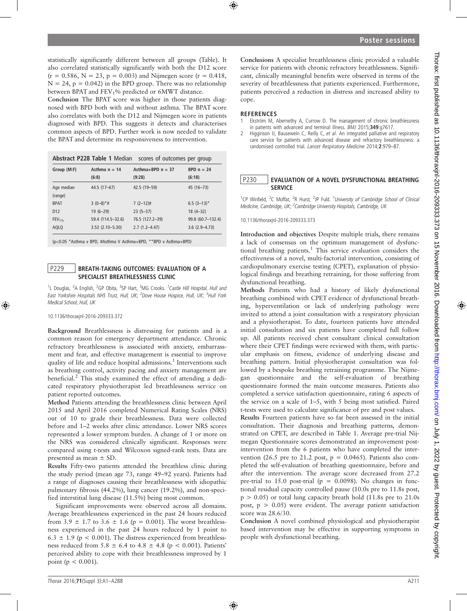statistically significantly different between all groups (Table). It also correlated statistically significantly with both the D12 score  $(r = 0.586, N = 23, p = 0.003)$  and Nijmegen score  $(r = 0.418,$  $N = 24$ ,  $p = 0.042$ ) in the BPD group. There was no relationship between BPAT and FEV<sub>1</sub>% predicted or 6MWT distance.

Conclusion The BPAT score was higher in those patients diagnosed with BPD both with and without asthma. The BPAT score also correlates with both the D12 and Nijmegen score in patients diagnosed with BPD. This suggests it detects and characterises common aspects of BPD. Further work is now needed to validate the BPAT and determine its responsiveness to intervention.

|                 |                          | Abstract P228 Table 1 Median scores of outcomes per group |                           |
|-----------------|--------------------------|-----------------------------------------------------------|---------------------------|
| Group (M:F)     | Asthma $n = 14$<br>(6:8) | Asthma+BPD $n = 37$<br>(9:28)                             | $BPD n = 24$<br>(6:18)    |
| Age median      | 44.5 (17-67)             | 42.5 (19-59)                                              | 45 (16-73)                |
| (range)         |                          |                                                           |                           |
| <b>BPAT</b>     | $3(0-8)*$ #              | $7(2-12)$ #                                               | $6.5$ (3-13) <sup>*</sup> |
| D <sub>12</sub> | $19(6-29)$               | $23(5-37)$                                                | $18(4-32)$                |
| $FEV1%$         | 59.4 (114.5-32.6)        | 76.5 (127.2-39)                                           | 99.8 (60.7-132.4)         |
| <b>AQLQ</b>     | $3.53(2.10 - 5.30)$      | $2.7(1.2 - 4.47)$                                         | $3.6(2.9 - 4.73)$         |

(p<0.05 \*Asthma v BPD, #Asthma V Asthma+BPD, \*\*BPD v Asthma+BPD)

# P229 | BREATH-TAKING OUTCOMES: EVALUATION OF A SPECIALIST BREATHLESSNESS CLINIC

<sup>1</sup>L Douglas, <sup>2</sup>A English, <sup>2</sup>GP Obita, <sup>3</sup>SP Hart, <sup>3</sup>MG Crooks. <sup>1</sup>Castle Hill Hospital, Hull and East Yorkshire Hospitals NHS Trust, Hull, UK; <sup>2</sup>Dove House Hospice, Hull, UK; <sup>3</sup>Hull York Medical School, Hull, UK

10.1136/thoraxjnl-2016-209333.372

Background Breathlessness is distressing for patients and is a common reason for emergency department attendance. Chronic refractory breathlessness is associated with anxiety, embarrassment and fear, and effective management is essential to improve quality of life and reduce hospital admissions.<sup>1</sup> Interventions such as breathing control, activity pacing and anxiety management are beneficial.<sup>2</sup> This study examined the effect of attending a dedicated respiratory physiotherapist led breathlessness service on patient reported outcomes.

Method Patients attending the breathlessness clinic between April 2015 and April 2016 completed Numerical Rating Scales (NRS) out of 10 to grade their breathlessness. Data were collected before and 1–2 weeks after clinic attendance. Lower NRS scores represented a lower symptom burden. A change of 1 or more on the NRS was considered clinically significant. Responses were compared using t-tests and Wilcoxon signed-rank tests. Data are presented as mean ± SD.

Results Fifty-two patients attended the breathless clinic during the study period (mean age 73, range 49–92 years). Patients had a range of diagnoses causing their breathlessness with idiopathic pulmonary fibrosis (44.2%), lung cancer (19.2%), and non-specified interstitial lung disease (11.5%) being most common.

Significant improvements were observed across all domains. Average breathlessness experienced in the past 24 hours reduced from 3.9  $\pm$  1.7 to 3.6  $\pm$  1.6 (p = 0.001). The worst breathlessness experienced in the past 24 hours reduced by 1 point to  $6.3 \pm 1.9$  (p < 0.001). The distress experienced from breathlessness reduced from 5.8  $\pm$  6.4 to 4.8  $\pm$  4.8 (p < 0.001). Patients' perceived ability to cope with their breathlessness improved by 1 point ( $p < 0.001$ ).

Conclusions A specialist breathlessness clinic provided a valuable service for patients with chronic refractory breathlessness. Significant, clinically meaningful benefits were observed in terms of the severity of breathlessness that patients experienced. Furthermore, patients perceived a reduction in distress and increased ability to cope.

### **REFERENCES**

- 1 Ekström M, Abernethy A, Currow D. The management of chronic breathlessness in patients with advanced and terminal illness. BMJ 2015;349:g7617.
- Higginson IJ, Bausewein C, Reilly C, et al. An integrated palliative and respiratory care service for patients with advanced disease and refractory breathlessness: a randomised controlled trial. Lancet Respiratory Medicine 2014;2:979–87.

## P230 EVALUATION OF A NOVEL DYSFUNCTIONAL BREATHING **SERVICE**

<sup>1</sup>CP Winfield, <sup>2</sup>C Moffat, <sup>2</sup>R Hurst, <sup>2</sup>JP Fuld. <sup>1</sup>University of Cambridge School of Clinical Medicine, Cambridge, UK; <sup>2</sup>Cambridge University Hospitals, Cambridge, UK

10.1136/thoraxjnl-2016-209333.373

Introduction and objectives Despite multiple trials, there remains a lack of consensus on the optimum management of dysfunctional breathing patients.<sup>1</sup> This service evaluation considers the effectiveness of a novel, multi-factorial intervention, consisting of cardiopulmonary exercise testing (CPET), explanation of physiological findings and breathing retraining, for those suffering from dysfunctional breathing.

Methods Patients who had a history of likely dysfunctional breathing combined with CPET evidence of dysfunctional breathing, hyperventilation or lack of underlying pathology were invited to attend a joint consultation with a respiratory physician and a physiotherapist. To date, fourteen patients have attended initial consultation and six patients have completed full follow up. All patients received chest consultant clinical consultation where their CPET findings were reviewed with them, with particular emphasis on fitness, evidence of underlying disease and breathing pattern. Initial physiotherapist consultation was followed by a bespoke breathing retraining programme. The Nijmegan questionnaire and the self-evaluation of breathing questionnaire formed the main outcome measures. Patients also completed a service satisfaction questionnaire, rating 6 aspects of the service on a scale of 1–5, with 5 being most satisfied. Paired t-tests were used to calculate significance of pre and post values.

Results Fourteen patients have so far been assessed in the initial consultation. Their diagnosis and breathing patterns, demonstrated on CPET, are described in Table 1. Average pre-trial Nijmegan Questionnaire scores demonstrated an improvement postintervention from the 6 patients who have completed the intervention (26.5 pre to 21.2 post,  $p = 0.0465$ ). Patients also completed the self-evaluation of breathing questionnaire, before and after the intervention. The average score decreased from 27.2 pre-trial to 15.0 post-trial ( $p = 0.0098$ ). No changes in functional residual capacity controlled pause (10.0s pre to 11.8s post,  $p > 0.05$ ) or total lung capacity breath hold (11.8s pre to 21.0s post,  $p > 0.05$ ) were evident. The average patient satisfaction score was 28.6/30.

Conclusion A novel combined physiological and physiotherapist based intervention may be effective in supporting symptoms in people with dysfunctional breathing.